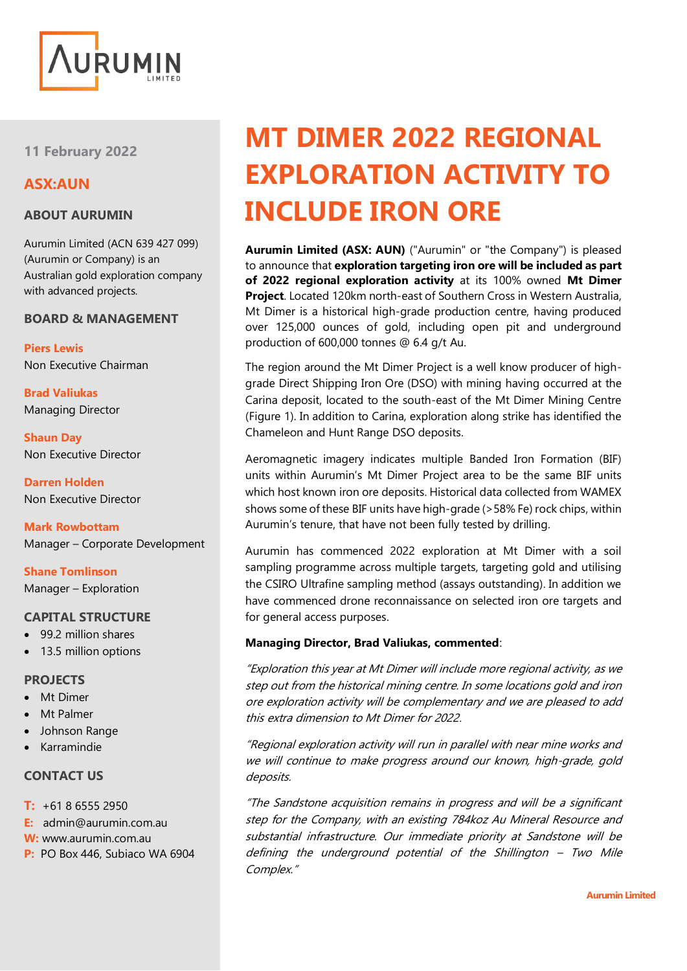

**11 February 2022**

## **ASX:AUN**

#### **ABOUT AURUMIN**

Aurumin Limited (ACN 639 427 099) (Aurumin or Company) is an Australian gold exploration company with advanced projects.

#### **BOARD & MANAGEMENT**

**Piers Lewis** Non Executive Chairman

**Brad Valiukas** Managing Director

**Shaun Day** Non Executive Director

**Darren Holden** Non Executive Director

**Mark Rowbottam** Manager – Corporate Development

**Shane Tomlinson** Manager – Exploration

#### **CAPITAL STRUCTURE**

- 99.2 million shares
- 13.5 million options

#### **PROJECTS**

- Mt Dimer
- **Mt Palmer**
- Johnson Range
- Karramindie

## **CONTACT US**

- **T:** +61 8 6555 2950
- **E:** admin@aurumin.com.au
- **W:** www.aurumin.com.au
- **P:** PO Box 446, Subiaco WA 6904

# **MT DIMER 2022 REGIONAL EXPLORATION ACTIVITY TO INCLUDE IRON ORE**

**Aurumin Limited (ASX: AUN)** ("Aurumin" or "the Company") is pleased to announce that **exploration targeting iron ore will be included as part of 2022 regional exploration activity** at its 100% owned **Mt Dimer Project**. Located 120km north-east of Southern Cross in Western Australia, Mt Dimer is a historical high-grade production centre, having produced over 125,000 ounces of gold, including open pit and underground production of 600,000 tonnes @ 6.4 g/t Au.

The region around the Mt Dimer Project is a well know producer of highgrade Direct Shipping Iron Ore (DSO) with mining having occurred at the Carina deposit, located to the south-east of the Mt Dimer Mining Centre [\(Figure 1\)](#page-1-0). In addition to Carina, exploration along strike has identified the Chameleon and Hunt Range DSO deposits.

Aeromagnetic imagery indicates multiple Banded Iron Formation (BIF) units within Aurumin's Mt Dimer Project area to be the same BIF units which host known iron ore deposits. Historical data collected from WAMEX shows some of these BIF units have high-grade (>58% Fe) rock chips, within Aurumin's tenure, that have not been fully tested by drilling.

Aurumin has commenced 2022 exploration at Mt Dimer with a soil sampling programme across multiple targets, targeting gold and utilising the CSIRO Ultrafine sampling method (assays outstanding). In addition we have commenced drone reconnaissance on selected iron ore targets and for general access purposes.

#### **Managing Director, Brad Valiukas, commented**:

"Exploration this year at Mt Dimer will include more regional activity, as we step out from the historical mining centre. In some locations gold and iron ore exploration activity will be complementary and we are pleased to add this extra dimension to Mt Dimer for 2022.

"Regional exploration activity will run in parallel with near mine works and we will continue to make progress around our known, high-grade, gold deposits.

"The Sandstone acquisition remains in progress and will be a significant step for the Company, with an existing 784koz Au Mineral Resource and substantial infrastructure. Our immediate priority at Sandstone will be defining the underground potential of the Shillington – Two Mile Complex."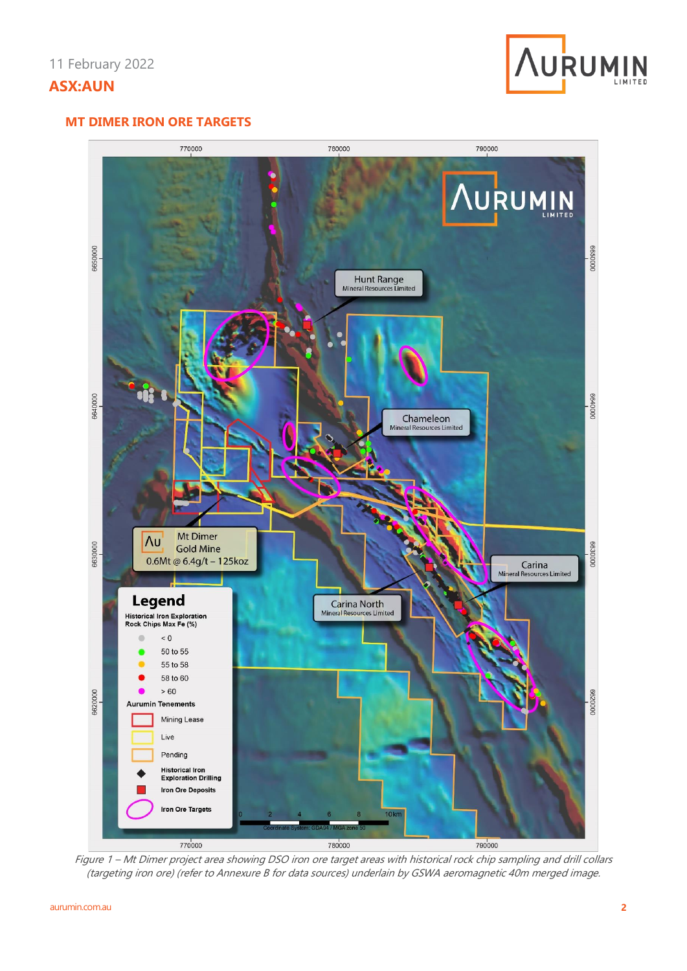

## **MT DIMER IRON ORE TARGETS**



<span id="page-1-0"></span>Figure 1 – Mt Dimer project area showing DSO iron ore target areas with historical rock chip sampling and drill collars (targeting iron ore) (refer to Annexure B for data sources) underlain by GSWA aeromagnetic 40m merged image.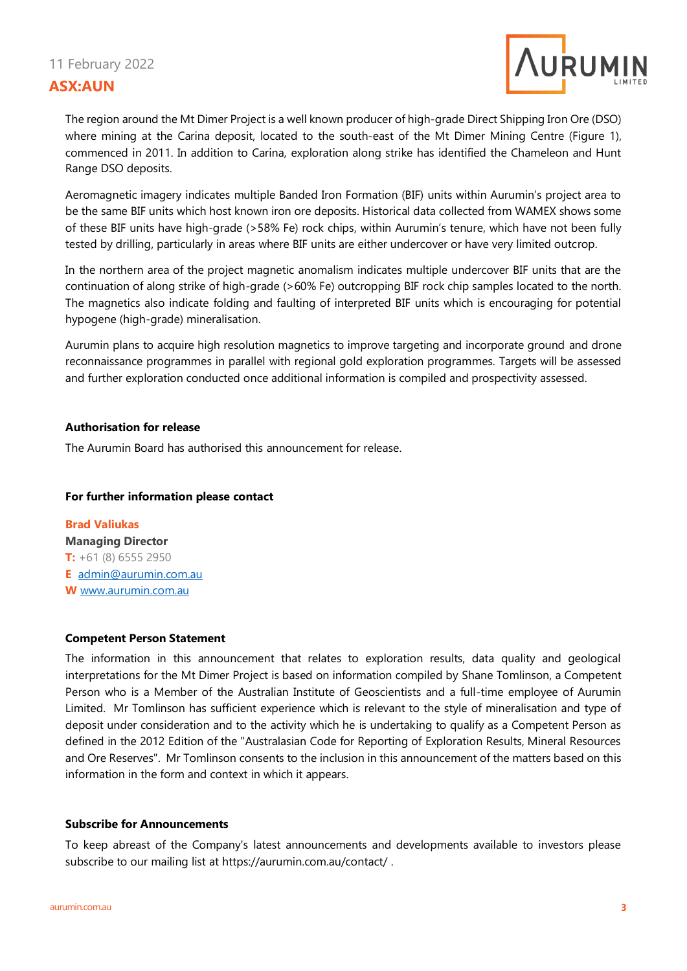# 11 February 2022 **ASX:AUN**



The region around the Mt Dimer Project is a well known producer of high-grade Direct Shipping Iron Ore (DSO) where mining at the Carina deposit, located to the south-east of the Mt Dimer Mining Centre [\(Figure 1\)](#page-1-0), commenced in 2011. In addition to Carina, exploration along strike has identified the Chameleon and Hunt Range DSO deposits.

Aeromagnetic imagery indicates multiple Banded Iron Formation (BIF) units within Aurumin's project area to be the same BIF units which host known iron ore deposits. Historical data collected from WAMEX shows some of these BIF units have high-grade (>58% Fe) rock chips, within Aurumin's tenure, which have not been fully tested by drilling, particularly in areas where BIF units are either undercover or have very limited outcrop.

In the northern area of the project magnetic anomalism indicates multiple undercover BIF units that are the continuation of along strike of high-grade (>60% Fe) outcropping BIF rock chip samples located to the north. The magnetics also indicate folding and faulting of interpreted BIF units which is encouraging for potential hypogene (high-grade) mineralisation.

Aurumin plans to acquire high resolution magnetics to improve targeting and incorporate ground and drone reconnaissance programmes in parallel with regional gold exploration programmes. Targets will be assessed and further exploration conducted once additional information is compiled and prospectivity assessed.

#### **Authorisation for release**

The Aurumin Board has authorised this announcement for release.

#### **For further information please contact**

**Brad Valiukas Managing Director T:** +61 (8) 6555 2950 **E** [admin@aurumin.com.au](mailto:admin@aurumin.com.au) **W** [www.aurumin.com.au](http://www.aurumin.com.au/)

#### **Competent Person Statement**

The information in this announcement that relates to exploration results, data quality and geological interpretations for the Mt Dimer Project is based on information compiled by Shane Tomlinson, a Competent Person who is a Member of the Australian Institute of Geoscientists and a full-time employee of Aurumin Limited. Mr Tomlinson has sufficient experience which is relevant to the style of mineralisation and type of deposit under consideration and to the activity which he is undertaking to qualify as a Competent Person as defined in the 2012 Edition of the "Australasian Code for Reporting of Exploration Results, Mineral Resources and Ore Reserves". Mr Tomlinson consents to the inclusion in this announcement of the matters based on this information in the form and context in which it appears.

#### **Subscribe for Announcements**

To keep abreast of the Company's latest announcements and developments available to investors please subscribe to our mailing list at<https://aurumin.com.au/contact/> .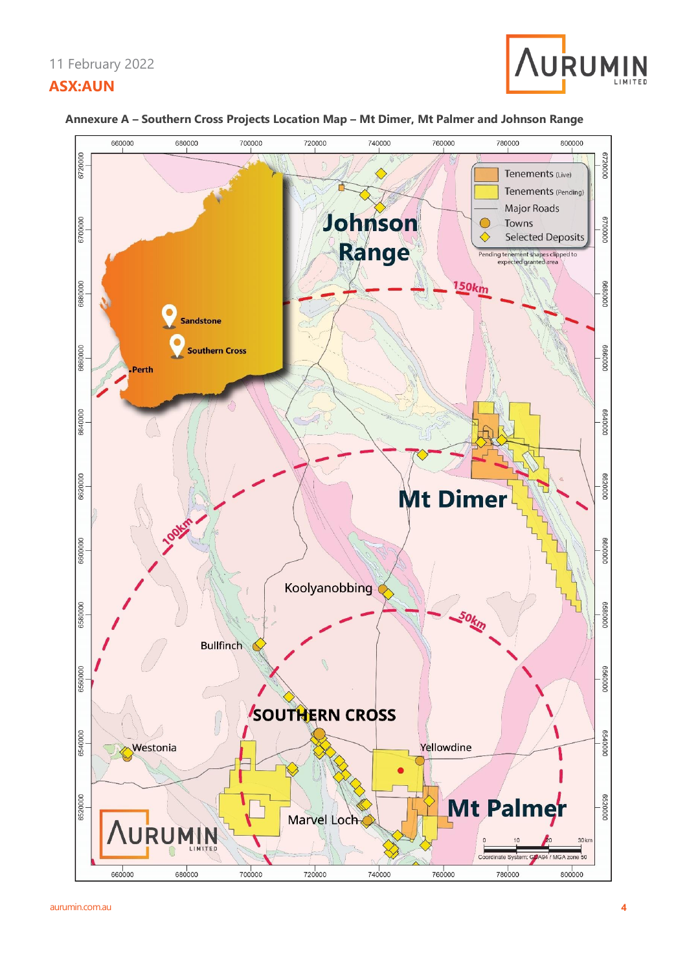# 11 February 2022 **ASX:AUN**





#### **Annexure A – Southern Cross Projects Location Map – Mt Dimer, Mt Palmer and Johnson Range**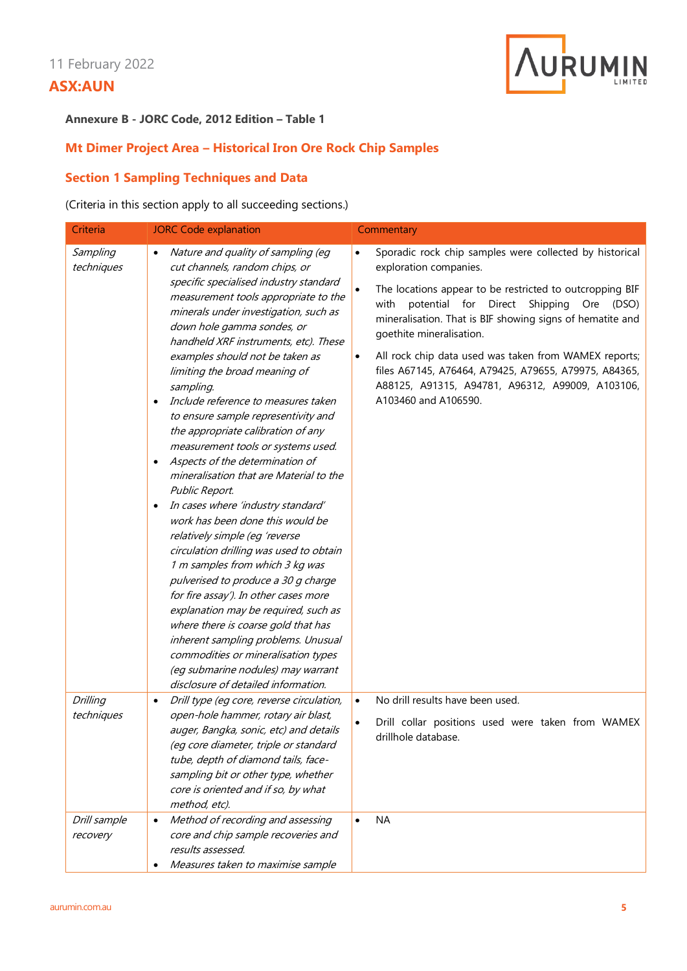

#### **Annexure B - JORC Code, 2012 Edition – Table 1**

## **Mt Dimer Project Area – Historical Iron Ore Rock Chip Samples**

## **Section 1 Sampling Techniques and Data**

## (Criteria in this section apply to all succeeding sections.)

| Criteria                      | <b>JORC Code explanation</b>                                                                                                                                                                                                                                                                                                                                                                                                                                                                                                                                                                                                                                                                                                                                                                                                                                                                                                                                                                                                                                                                                                                                                 | Commentary                                                                                                                                                                                                                                                                                                                                                                                                                                                                                                                 |
|-------------------------------|------------------------------------------------------------------------------------------------------------------------------------------------------------------------------------------------------------------------------------------------------------------------------------------------------------------------------------------------------------------------------------------------------------------------------------------------------------------------------------------------------------------------------------------------------------------------------------------------------------------------------------------------------------------------------------------------------------------------------------------------------------------------------------------------------------------------------------------------------------------------------------------------------------------------------------------------------------------------------------------------------------------------------------------------------------------------------------------------------------------------------------------------------------------------------|----------------------------------------------------------------------------------------------------------------------------------------------------------------------------------------------------------------------------------------------------------------------------------------------------------------------------------------------------------------------------------------------------------------------------------------------------------------------------------------------------------------------------|
| Sampling<br>techniques        | Nature and quality of sampling (eg<br>cut channels, random chips, or<br>specific specialised industry standard<br>measurement tools appropriate to the<br>minerals under investigation, such as<br>down hole gamma sondes, or<br>handheld XRF instruments, etc). These<br>examples should not be taken as<br>limiting the broad meaning of<br>sampling.<br>Include reference to measures taken<br>$\bullet$<br>to ensure sample representivity and<br>the appropriate calibration of any<br>measurement tools or systems used.<br>Aspects of the determination of<br>$\bullet$<br>mineralisation that are Material to the<br>Public Report.<br>In cases where 'industry standard'<br>$\bullet$<br>work has been done this would be<br>relatively simple (eq 'reverse<br>circulation drilling was used to obtain<br>1 m samples from which 3 kg was<br>pulverised to produce a 30 g charge<br>for fire assay'). In other cases more<br>explanation may be required, such as<br>where there is coarse gold that has<br>inherent sampling problems. Unusual<br>commodities or mineralisation types<br>(eg submarine nodules) may warrant<br>disclosure of detailed information. | Sporadic rock chip samples were collected by historical<br>exploration companies.<br>$\bullet$<br>The locations appear to be restricted to outcropping BIF<br>potential for Direct<br>Shipping<br>with<br>Ore<br>(DSO)<br>mineralisation. That is BIF showing signs of hematite and<br>goethite mineralisation.<br>All rock chip data used was taken from WAMEX reports;<br>$\bullet$<br>files A67145, A76464, A79425, A79655, A79975, A84365,<br>A88125, A91315, A94781, A96312, A99009, A103106,<br>A103460 and A106590. |
| <b>Drilling</b><br>techniques | Drill type (eg core, reverse circulation,<br>$\bullet$<br>open-hole hammer, rotary air blast,<br>auger, Bangka, sonic, etc) and details<br>(eg core diameter, triple or standard<br>tube, depth of diamond tails, face-<br>sampling bit or other type, whether<br>core is oriented and if so, by what<br>method, etc).                                                                                                                                                                                                                                                                                                                                                                                                                                                                                                                                                                                                                                                                                                                                                                                                                                                       | No drill results have been used.<br>$\bullet$<br>Drill collar positions used were taken from WAMEX<br>drillhole database.                                                                                                                                                                                                                                                                                                                                                                                                  |
| Drill sample<br>recovery      | Method of recording and assessing<br>$\bullet$<br>core and chip sample recoveries and<br>results assessed.<br>Measures taken to maximise sample                                                                                                                                                                                                                                                                                                                                                                                                                                                                                                                                                                                                                                                                                                                                                                                                                                                                                                                                                                                                                              | <b>NA</b>                                                                                                                                                                                                                                                                                                                                                                                                                                                                                                                  |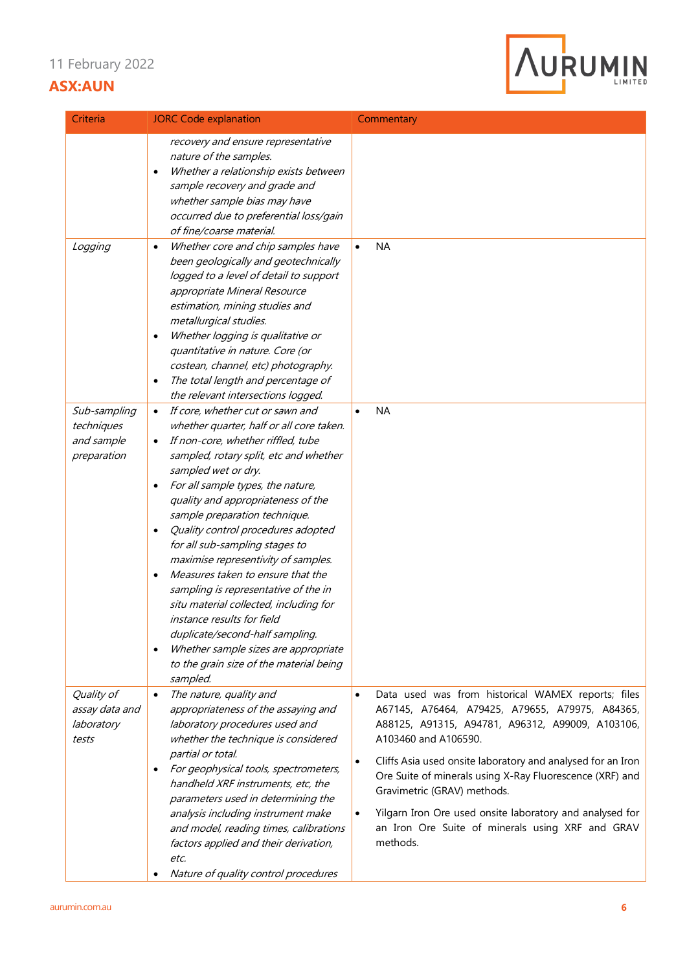

| Criteria                                                | <b>JORC Code explanation</b>                                                                                                                                                                                                                                                                                                                                                                                                                                                                                                                                                                                                                                                                                                                              | Commentary                                                                                                                                                                                                                                                                                                                                                                                                                                                                                                     |
|---------------------------------------------------------|-----------------------------------------------------------------------------------------------------------------------------------------------------------------------------------------------------------------------------------------------------------------------------------------------------------------------------------------------------------------------------------------------------------------------------------------------------------------------------------------------------------------------------------------------------------------------------------------------------------------------------------------------------------------------------------------------------------------------------------------------------------|----------------------------------------------------------------------------------------------------------------------------------------------------------------------------------------------------------------------------------------------------------------------------------------------------------------------------------------------------------------------------------------------------------------------------------------------------------------------------------------------------------------|
|                                                         | recovery and ensure representative<br>nature of the samples.<br>Whether a relationship exists between<br>$\bullet$<br>sample recovery and grade and<br>whether sample bias may have<br>occurred due to preferential loss/gain<br>of fine/coarse material.                                                                                                                                                                                                                                                                                                                                                                                                                                                                                                 |                                                                                                                                                                                                                                                                                                                                                                                                                                                                                                                |
| Logging                                                 | Whether core and chip samples have<br>$\bullet$<br>been geologically and geotechnically<br>logged to a level of detail to support<br>appropriate Mineral Resource<br>estimation, mining studies and<br>metallurgical studies.<br>Whether logging is qualitative or<br>$\bullet$<br>quantitative in nature. Core (or<br>costean, channel, etc) photography.<br>The total length and percentage of<br>$\bullet$<br>the relevant intersections logged.                                                                                                                                                                                                                                                                                                       | <b>NA</b><br>$\bullet$                                                                                                                                                                                                                                                                                                                                                                                                                                                                                         |
| Sub-sampling<br>techniques<br>and sample<br>preparation | If core, whether cut or sawn and<br>$\bullet$<br>whether quarter, half or all core taken.<br>If non-core, whether riffled, tube<br>sampled, rotary split, etc and whether<br>sampled wet or dry.<br>For all sample types, the nature,<br>$\bullet$<br>quality and appropriateness of the<br>sample preparation technique.<br>Quality control procedures adopted<br>$\bullet$<br>for all sub-sampling stages to<br>maximise representivity of samples.<br>Measures taken to ensure that the<br>$\bullet$<br>sampling is representative of the in<br>situ material collected, including for<br>instance results for field<br>duplicate/second-half sampling.<br>Whether sample sizes are appropriate<br>to the grain size of the material being<br>sampled. | <b>NA</b><br>$\bullet$                                                                                                                                                                                                                                                                                                                                                                                                                                                                                         |
| Quality of<br>assay data and<br>laboratory<br>tests     | The nature, quality and<br>$\bullet$<br>appropriateness of the assaying and<br>laboratory procedures used and<br>whether the technique is considered<br>partial or total.<br>For geophysical tools, spectrometers,<br>$\bullet$<br>handheld XRF instruments, etc, the<br>parameters used in determining the<br>analysis including instrument make<br>and model, reading times, calibrations<br>factors applied and their derivation,<br>etc.<br>Nature of quality control procedures                                                                                                                                                                                                                                                                      | Data used was from historical WAMEX reports; files<br>$\bullet$<br>A67145, A76464, A79425, A79655, A79975, A84365,<br>A88125, A91315, A94781, A96312, A99009, A103106,<br>A103460 and A106590.<br>Cliffs Asia used onsite laboratory and analysed for an Iron<br>$\bullet$<br>Ore Suite of minerals using X-Ray Fluorescence (XRF) and<br>Gravimetric (GRAV) methods.<br>Yilgarn Iron Ore used onsite laboratory and analysed for<br>$\bullet$<br>an Iron Ore Suite of minerals using XRF and GRAV<br>methods. |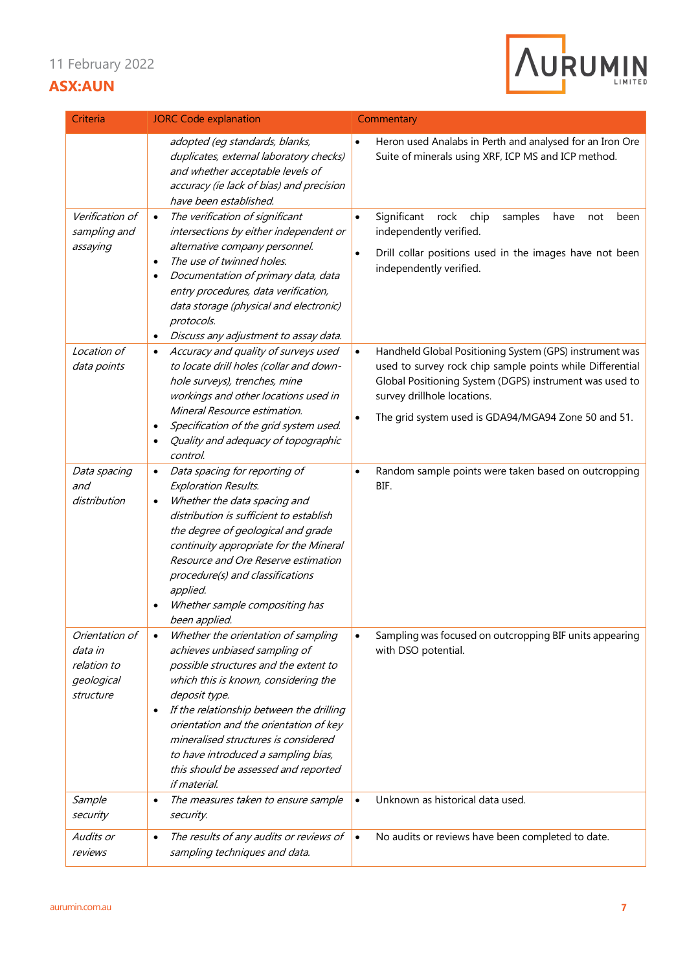

| Criteria                                                            | <b>JORC Code explanation</b>                                                                                                                                                                                                                                                                                                                                                                                     | Commentary                                                                                                                                                                                                                                                            |
|---------------------------------------------------------------------|------------------------------------------------------------------------------------------------------------------------------------------------------------------------------------------------------------------------------------------------------------------------------------------------------------------------------------------------------------------------------------------------------------------|-----------------------------------------------------------------------------------------------------------------------------------------------------------------------------------------------------------------------------------------------------------------------|
|                                                                     | adopted (eg standards, blanks,<br>duplicates, external laboratory checks)<br>and whether acceptable levels of<br>accuracy (ie lack of bias) and precision<br>have been established.                                                                                                                                                                                                                              | Heron used Analabs in Perth and analysed for an Iron Ore<br>Suite of minerals using XRF, ICP MS and ICP method.                                                                                                                                                       |
| Verification of<br>sampling and<br>assaying                         | The verification of significant<br>$\bullet$<br>intersections by either independent or<br>alternative company personnel.<br>The use of twinned holes.<br>$\bullet$<br>Documentation of primary data, data<br>entry procedures, data verification,<br>data storage (physical and electronic)<br>protocols.                                                                                                        | Significant<br>rock<br>chip<br>samples<br>have<br>been<br>$\bullet$<br>not<br>independently verified.<br>Drill collar positions used in the images have not been<br>$\bullet$<br>independently verified.                                                              |
| Location of<br>data points                                          | Discuss any adjustment to assay data.<br>$\bullet$<br>Accuracy and quality of surveys used<br>$\bullet$<br>to locate drill holes (collar and down-<br>hole surveys), trenches, mine<br>workings and other locations used in<br>Mineral Resource estimation.<br>Specification of the grid system used.<br>$\bullet$<br>Quality and adequacy of topographic<br>control.                                            | Handheld Global Positioning System (GPS) instrument was<br>used to survey rock chip sample points while Differential<br>Global Positioning System (DGPS) instrument was used to<br>survey drillhole locations.<br>The grid system used is GDA94/MGA94 Zone 50 and 51. |
| Data spacing<br>and<br>distribution                                 | Data spacing for reporting of<br><b>Exploration Results.</b><br>Whether the data spacing and<br>$\bullet$<br>distribution is sufficient to establish<br>the degree of geological and grade<br>continuity appropriate for the Mineral<br>Resource and Ore Reserve estimation<br>procedure(s) and classifications<br>applied.<br>Whether sample compositing has<br>$\bullet$<br>been applied.                      | Random sample points were taken based on outcropping<br>$\bullet$<br>BIF.                                                                                                                                                                                             |
| Orientation of<br>data in<br>relation to<br>geological<br>structure | Whether the orientation of sampling<br>achieves unbiased sampling of<br>possible structures and the extent to<br>which this is known, considering the<br>deposit type.<br>If the relationship between the drilling<br>$\bullet$<br>orientation and the orientation of key<br>mineralised structures is considered<br>to have introduced a sampling bias,<br>this should be assessed and reported<br>if material. | Sampling was focused on outcropping BIF units appearing<br>with DSO potential.                                                                                                                                                                                        |
| Sample<br>security                                                  | The measures taken to ensure sample<br>$\bullet$<br>security.                                                                                                                                                                                                                                                                                                                                                    | Unknown as historical data used.<br>$\bullet$                                                                                                                                                                                                                         |
| Audits or<br>reviews                                                | The results of any audits or reviews of<br>$\bullet$<br>sampling techniques and data.                                                                                                                                                                                                                                                                                                                            | No audits or reviews have been completed to date.<br>$\bullet$                                                                                                                                                                                                        |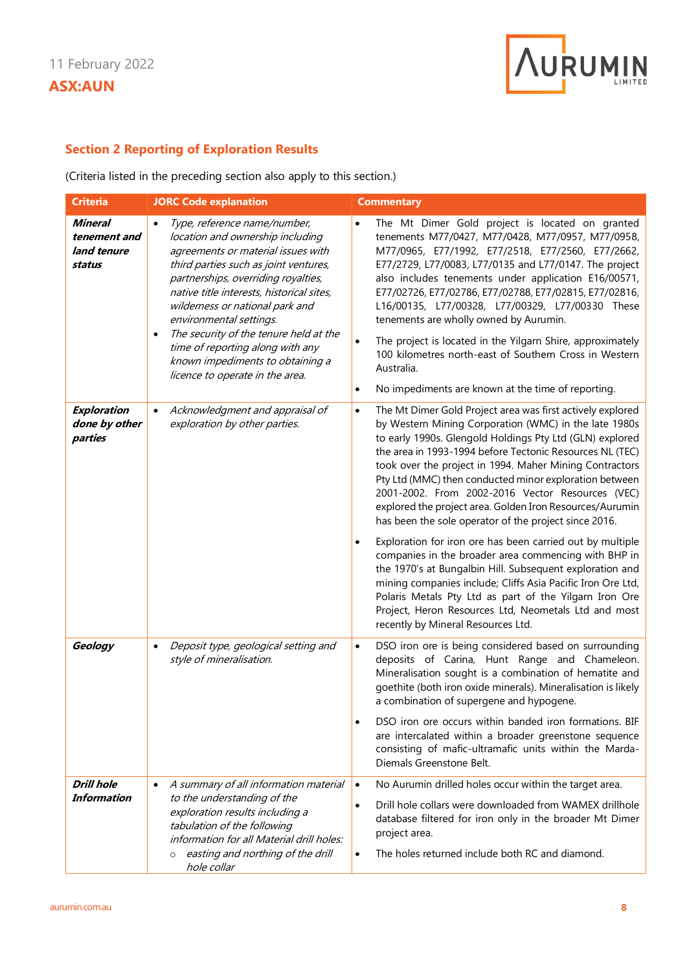

## **Section 2 Reporting of Exploration Results**

(Criteria listed in the preceding section also apply to this section.)

| <b>Criteria</b>                                         | <b>JORC Code explanation</b>                                                                                                                                                                                                                                                                                                                                                                                                                                        | <b>Commentary</b>                                                                                                                                                                                                                                                                                                                                                                                                                                                                                                                                                                                                                                                                        |
|---------------------------------------------------------|---------------------------------------------------------------------------------------------------------------------------------------------------------------------------------------------------------------------------------------------------------------------------------------------------------------------------------------------------------------------------------------------------------------------------------------------------------------------|------------------------------------------------------------------------------------------------------------------------------------------------------------------------------------------------------------------------------------------------------------------------------------------------------------------------------------------------------------------------------------------------------------------------------------------------------------------------------------------------------------------------------------------------------------------------------------------------------------------------------------------------------------------------------------------|
| <b>Mineral</b><br>tenement and<br>land tenure<br>status | Type, reference name/number,<br>location and ownership including<br>agreements or material issues with<br>third parties such as joint ventures,<br>partnerships, overriding royalties,<br>native title interests, historical sites,<br>wilderness or national park and<br>environmental settings.<br>The security of the tenure held at the<br>$\bullet$<br>time of reporting along with any<br>known impediments to obtaining a<br>licence to operate in the area. | The Mt Dimer Gold project is located on granted<br>tenements M77/0427, M77/0428, M77/0957, M77/0958,<br>M77/0965, E77/1992, E77/2518, E77/2560, E77/2662,<br>E77/2729, L77/0083, L77/0135 and L77/0147. The project<br>also includes tenements under application E16/00571,<br>E77/02726, E77/02786, E77/02788, E77/02815, E77/02816,<br>L16/00135, L77/00328, L77/00329, L77/00330 These<br>tenements are wholly owned by Aurumin.<br>The project is located in the Yilgarn Shire, approximately<br>$\bullet$<br>100 kilometres north-east of Southern Cross in Western<br>Australia.<br>No impediments are known at the time of reporting.<br>$\bullet$                                |
| Exploration<br>done by other<br>parties                 | Acknowledgment and appraisal of<br>$\bullet$<br>exploration by other parties.                                                                                                                                                                                                                                                                                                                                                                                       | The Mt Dimer Gold Project area was first actively explored<br>$\bullet$<br>by Western Mining Corporation (WMC) in the late 1980s<br>to early 1990s. Glengold Holdings Pty Ltd (GLN) explored<br>the area in 1993-1994 before Tectonic Resources NL (TEC)<br>took over the project in 1994. Maher Mining Contractors<br>Pty Ltd (MMC) then conducted minor exploration between<br>2001-2002. From 2002-2016 Vector Resources (VEC)<br>explored the project area. Golden Iron Resources/Aurumin<br>has been the sole operator of the project since 2016.<br>Exploration for iron ore has been carried out by multiple<br>$\bullet$<br>companies in the broader area commencing with BHP in |
|                                                         |                                                                                                                                                                                                                                                                                                                                                                                                                                                                     | the 1970's at Bungalbin Hill. Subsequent exploration and<br>mining companies include; Cliffs Asia Pacific Iron Ore Ltd,<br>Polaris Metals Pty Ltd as part of the Yilgarn Iron Ore<br>Project, Heron Resources Ltd, Neometals Ltd and most<br>recently by Mineral Resources Ltd.                                                                                                                                                                                                                                                                                                                                                                                                          |
| Geology                                                 | Deposit type, geological setting and<br>$\bullet$<br>style of mineralisation.                                                                                                                                                                                                                                                                                                                                                                                       | DSO iron ore is being considered based on surrounding<br>$\bullet$<br>deposits of Carina, Hunt Range and Chameleon.<br>Mineralisation sought is a combination of hematite and<br>goethite (both iron oxide minerals). Mineralisation is likely<br>a combination of supergene and hypogene.                                                                                                                                                                                                                                                                                                                                                                                               |
|                                                         |                                                                                                                                                                                                                                                                                                                                                                                                                                                                     | DSO iron ore occurs within banded iron formations. BIF<br>$\bullet$<br>are intercalated within a broader greenstone sequence<br>consisting of mafic-ultramafic units within the Marda-<br>Diemals Greenstone Belt.                                                                                                                                                                                                                                                                                                                                                                                                                                                                       |
| <b>Drill hole</b>                                       | A summary of all information material<br>$\bullet$                                                                                                                                                                                                                                                                                                                                                                                                                  | No Aurumin drilled holes occur within the target area.<br>$\bullet$                                                                                                                                                                                                                                                                                                                                                                                                                                                                                                                                                                                                                      |
| <b>Information</b>                                      | to the understanding of the<br>exploration results including a<br>tabulation of the following<br>information for all Material drill holes:                                                                                                                                                                                                                                                                                                                          | Drill hole collars were downloaded from WAMEX drillhole<br>$\bullet$<br>database filtered for iron only in the broader Mt Dimer<br>project area.                                                                                                                                                                                                                                                                                                                                                                                                                                                                                                                                         |
|                                                         | easting and northing of the drill<br>$\circ$<br>hole collar                                                                                                                                                                                                                                                                                                                                                                                                         | The holes returned include both RC and diamond.<br>$\bullet$                                                                                                                                                                                                                                                                                                                                                                                                                                                                                                                                                                                                                             |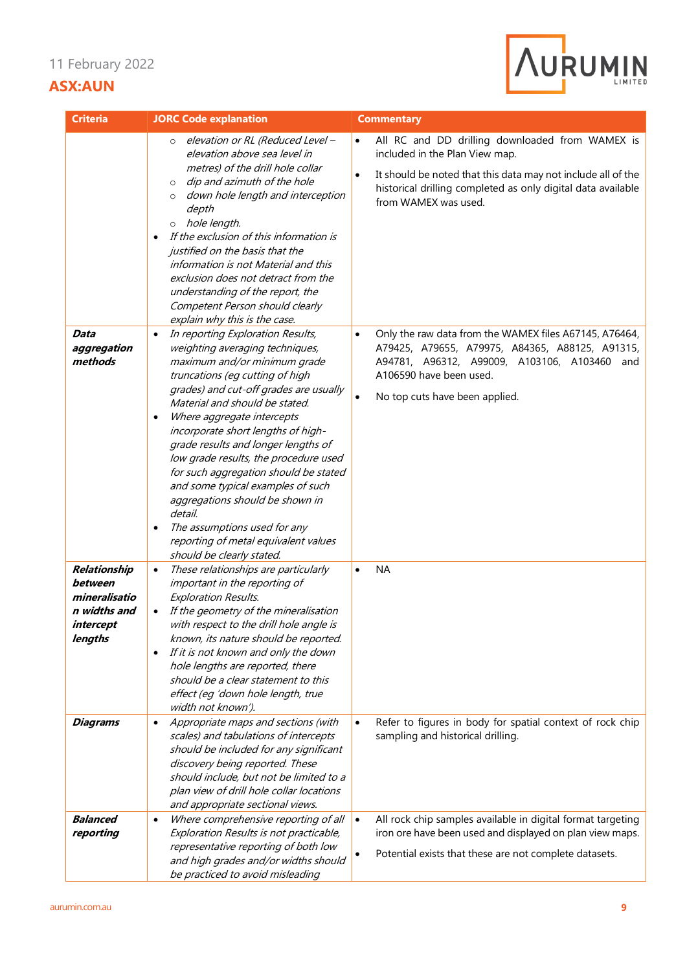

| <b>Criteria</b>                                                                                     | <b>JORC Code explanation</b>                                                                                                                                                                                                                                                                                                                                                                                                                                                                                                                                                                                                                                                                                                                                                                                                                                                                                                                                                                                                                                                                                  | <b>Commentary</b>                                                                                                                                                                                                                                                                                                                                                                                                                                                                                                       |
|-----------------------------------------------------------------------------------------------------|---------------------------------------------------------------------------------------------------------------------------------------------------------------------------------------------------------------------------------------------------------------------------------------------------------------------------------------------------------------------------------------------------------------------------------------------------------------------------------------------------------------------------------------------------------------------------------------------------------------------------------------------------------------------------------------------------------------------------------------------------------------------------------------------------------------------------------------------------------------------------------------------------------------------------------------------------------------------------------------------------------------------------------------------------------------------------------------------------------------|-------------------------------------------------------------------------------------------------------------------------------------------------------------------------------------------------------------------------------------------------------------------------------------------------------------------------------------------------------------------------------------------------------------------------------------------------------------------------------------------------------------------------|
| Data<br>aggregation<br>methods                                                                      | elevation or RL (Reduced Level -<br>$\circ$<br>elevation above sea level in<br>metres) of the drill hole collar<br>dip and azimuth of the hole<br>$\circ$<br>down hole length and interception<br>$\circ$<br>depth<br>hole length.<br>$\circ$<br>If the exclusion of this information is<br>$\bullet$<br>justified on the basis that the<br>information is not Material and this<br>exclusion does not detract from the<br>understanding of the report, the<br>Competent Person should clearly<br>explain why this is the case.<br>In reporting Exploration Results,<br>$\bullet$<br>weighting averaging techniques,<br>maximum and/or minimum grade<br>truncations (eg cutting of high<br>grades) and cut-off grades are usually<br>Material and should be stated.<br>Where aggregate intercepts<br>$\bullet$<br>incorporate short lengths of high-<br>grade results and longer lengths of<br>low grade results, the procedure used<br>for such aggregation should be stated<br>and some typical examples of such<br>aggregations should be shown in<br>detail.<br>The assumptions used for any<br>$\bullet$ | All RC and DD drilling downloaded from WAMEX is<br>$\bullet$<br>included in the Plan View map.<br>It should be noted that this data may not include all of the<br>$\bullet$<br>historical drilling completed as only digital data available<br>from WAMEX was used.<br>Only the raw data from the WAMEX files A67145, A76464,<br>$\bullet$<br>A79425, A79655, A79975, A84365, A88125, A91315,<br>A94781, A96312, A99009, A103106, A103460 and<br>A106590 have been used.<br>No top cuts have been applied.<br>$\bullet$ |
| Relationship<br>between<br>mineralisatio<br>n widths and<br>intercept<br>lengths<br><b>Diagrams</b> | reporting of metal equivalent values<br>should be clearly stated.<br>These relationships are particularly<br>$\bullet$<br>important in the reporting of<br><b>Exploration Results.</b><br>If the geometry of the mineralisation<br>$\bullet$<br>with respect to the drill hole angle is<br>known, its nature should be reported.<br>If it is not known and only the down<br>$\bullet$<br>hole lengths are reported, there<br>should be a clear statement to this<br>effect (eq 'down hole length, true<br>width not known').<br>Appropriate maps and sections (with<br>$\bullet$<br>scales) and tabulations of intercepts<br>should be included for any significant<br>discovery being reported. These                                                                                                                                                                                                                                                                                                                                                                                                        | <b>NA</b><br>$\bullet$<br>Refer to figures in body for spatial context of rock chip<br>$\bullet$<br>sampling and historical drilling.                                                                                                                                                                                                                                                                                                                                                                                   |
| <b>Balanced</b><br>reporting                                                                        | should include, but not be limited to a<br>plan view of drill hole collar locations<br>and appropriate sectional views.<br>Where comprehensive reporting of all<br>$\bullet$<br>Exploration Results is not practicable,<br>representative reporting of both low<br>and high grades and/or widths should<br>be practiced to avoid misleading                                                                                                                                                                                                                                                                                                                                                                                                                                                                                                                                                                                                                                                                                                                                                                   | All rock chip samples available in digital format targeting<br>$\bullet$<br>iron ore have been used and displayed on plan view maps.<br>Potential exists that these are not complete datasets.<br>$\bullet$                                                                                                                                                                                                                                                                                                             |